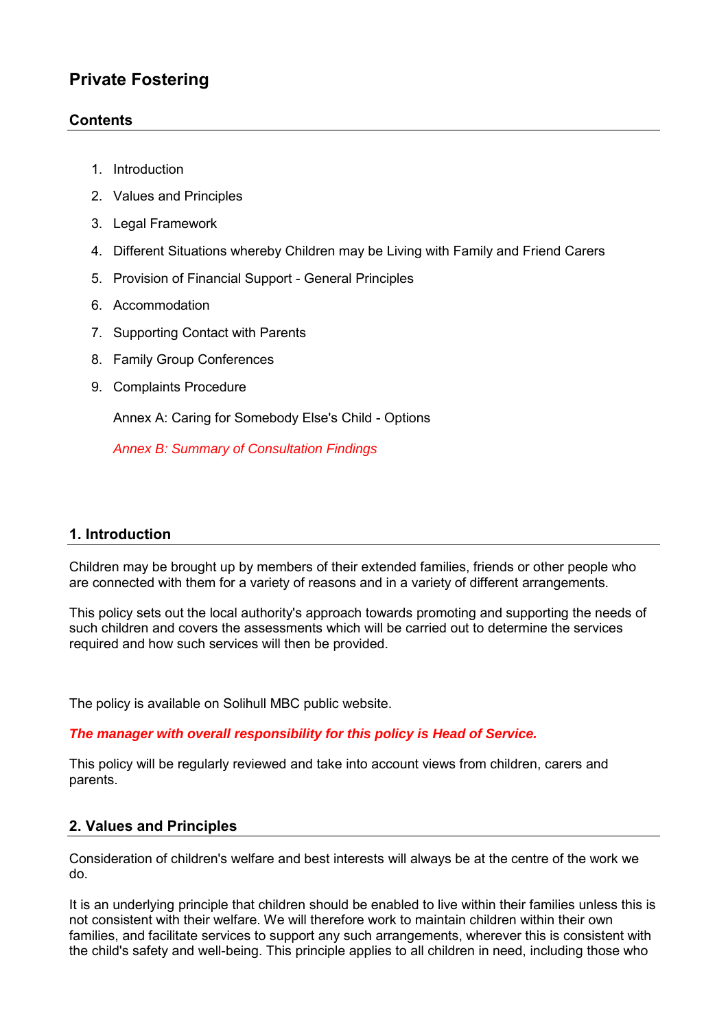# **Private Fostering**

## **Contents**

- 1. [Introduction](http://www.proceduresonline.com/templates/derek/web/chapters/p_fam_frien_care_pol.html#intro)
- 2. [Values and Principles](http://www.proceduresonline.com/templates/derek/web/chapters/p_fam_frien_care_pol.html#values)
- 3. [Legal Framework](http://www.proceduresonline.com/templates/derek/web/chapters/p_fam_frien_care_pol.html#legal)
- 4. [Different Situations whereby Children may be Living with Family and Friend Carers](http://www.proceduresonline.com/templates/derek/web/chapters/p_fam_frien_care_pol.html#diff)
- 5. [Provision of Financial Support General Principles](http://www.proceduresonline.com/templates/derek/web/chapters/p_fam_frien_care_pol.html#provision)
- 6. [Accommodation](http://www.proceduresonline.com/templates/derek/web/chapters/p_fam_frien_care_pol.html#accomm)
- 7. [Supporting Contact with Parents](http://www.proceduresonline.com/templates/derek/web/chapters/p_fam_frien_care_pol.html#supp_con)
- 8. [Family Group Conferences](http://www.proceduresonline.com/templates/derek/web/chapters/p_fam_frien_care_pol.html#fgc)
- 9. [Complaints Procedure](http://www.proceduresonline.com/templates/derek/web/chapters/p_fam_frien_care_pol.html#complaints)

[Annex A: Caring for Somebody Else's Child - Options](http://www.proceduresonline.com/templates/derek/web/pdfs/care_someone_else_ch.pdf)

*Annex B: Summary of Consultation Findings*

### **1. Introduction**

Children may be brought up by members of their extended families, friends or other people who are connected with them for a variety of reasons and in a variety of different arrangements.

This policy sets out the local authority's approach towards promoting and supporting the needs of such children and covers the assessments which will be carried out to determine the services required and how such services will then be provided.

The policy is available on Solihull MBC public website.

### *The manager with overall responsibility for this policy is Head of Service.*

This policy will be regularly reviewed and take into account views from children, carers and parents.

### **2. Values and Principles**

Consideration of children's welfare and best interests will always be at the centre of the work we do.

It is an underlying principle that children should be enabled to live within their families unless this is not consistent with their welfare. We will therefore work to maintain children within their own families, and facilitate services to support any such arrangements, wherever this is consistent with the child's safety and well-being. This principle applies to all children in need, including those who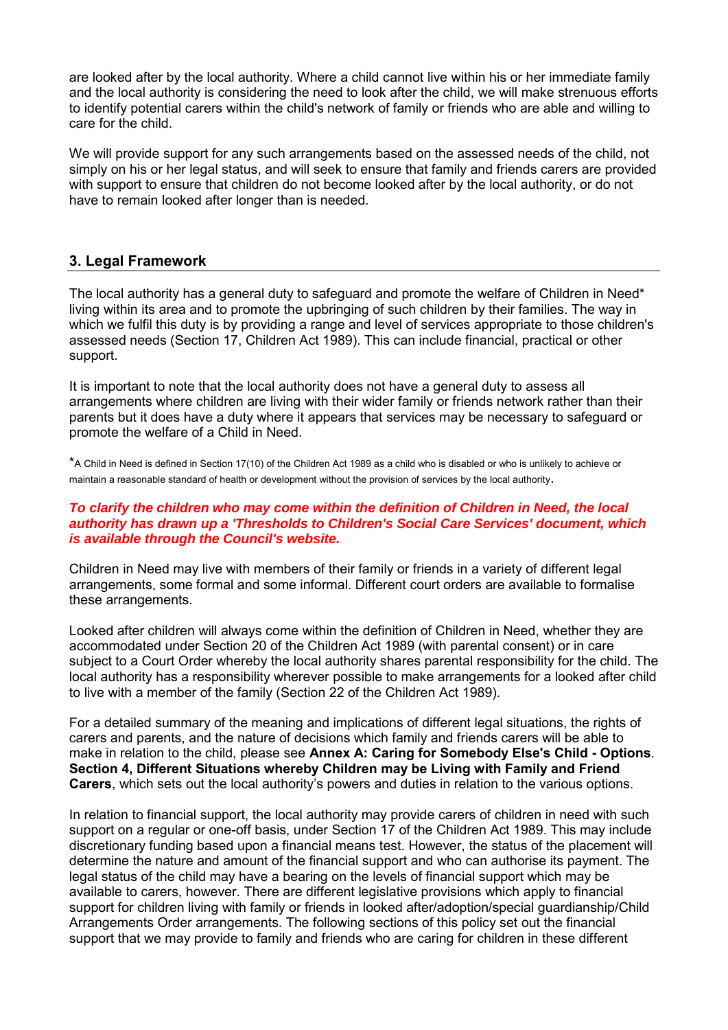are looked after by the local authority. Where a child cannot live within his or her immediate family and the local authority is considering the need to look after the child, we will make strenuous efforts to identify potential carers within the child's network of family or friends who are able and willing to care for the child.

We will provide support for any such arrangements based on the assessed needs of the child, not simply on his or her legal status, and will seek to ensure that family and friends carers are provided with support to ensure that children do not become looked after by the local authority, or do not have to remain looked after longer than is needed.

## **3. Legal Framework**

The local authority has a general duty to safeguard and promote the welfare of Children in Need\* living within its area and to promote the upbringing of such children by their families. The way in which we fulfil this duty is by providing a range and level of services appropriate to those children's assessed needs (Section 17, Children Act 1989). This can include financial, practical or other support.

It is important to note that the local authority does not have a general duty to assess all arrangements where children are living with their wider family or friends network rather than their parents but it does have a duty where it appears that services may be necessary to safeguard or promote the welfare of a Child in Need.

\*A Child in Need is defined in Section 17(10) of the Children Act 1989 as a child who is disabled or who is unlikely to achieve or maintain a reasonable standard of health or development without the provision of services by the local authority.

#### *To clarify the children who may come within the definition of Children in Need, the local authority has drawn up a 'Thresholds to Children's Social Care Services' document, which is available through the Council's website.*

Children in Need may live with members of their family or friends in a variety of different legal arrangements, some formal and some informal. Different court orders are available to formalise these arrangements.

Looked after children will always come within the definition of Children in Need, whether they are accommodated under Section 20 of the Children Act 1989 (with parental consent) or in care subject to a Court Order whereby the local authority shares parental responsibility for the child. The local authority has a responsibility wherever possible to make arrangements for a looked after child to live with a member of the family (Section 22 of the Children Act 1989).

For a detailed summary of the meaning and implications of different legal situations, the rights of carers and parents, and the nature of decisions which family and friends carers will be able to make in relation to the child, please see **[Annex A: Caring for Somebody Else's Child - Options](http://www.proceduresonline.com/templates/derek/web/pdfs/care_someone_else_ch.pdf)**. **[Section 4, Different Situations whereby Children may be Living with Family and Friend](http://www.proceduresonline.com/templates/derek/web/chapters/p_fam_frien_care_pol.html#diff)  [Carers](http://www.proceduresonline.com/templates/derek/web/chapters/p_fam_frien_care_pol.html#diff)**, which sets out the local authority's powers and duties in relation to the various options.

In relation to financial support, the local authority may provide carers of children in need with such support on a regular or one-off basis, under Section 17 of the Children Act 1989. This may include discretionary funding based upon a financial means test. However, the status of the placement will determine the nature and amount of the financial support and who can authorise its payment. The legal status of the child may have a bearing on the levels of financial support which may be available to carers, however. There are different legislative provisions which apply to financial support for children living with family or friends in looked after/adoption/special guardianship/Child Arrangements Order arrangements. The following sections of this policy set out the financial support that we may provide to family and friends who are caring for children in these different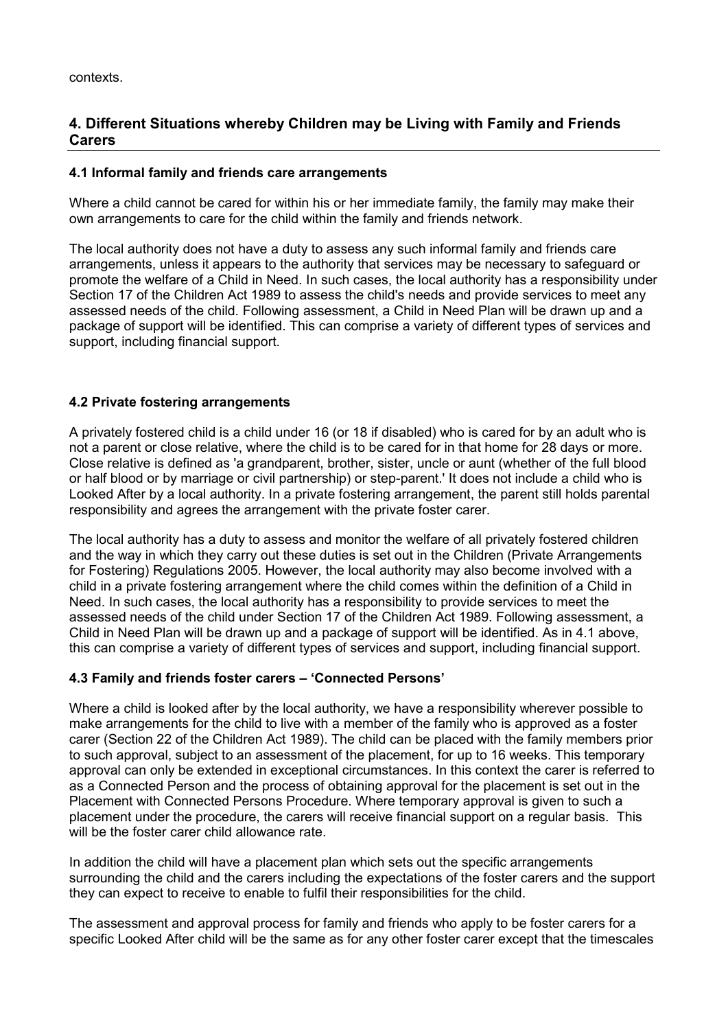# **4. Different Situations whereby Children may be Living with Family and Friends Carers**

### **4.1 Informal family and friends care arrangements**

Where a child cannot be cared for within his or her immediate family, the family may make their own arrangements to care for the child within the family and friends network.

The local authority does not have a duty to assess any such informal family and friends care arrangements, unless it appears to the authority that services may be necessary to safeguard or promote the welfare of a Child in Need. In such cases, the local authority has a responsibility under Section 17 of the Children Act 1989 to assess the child's needs and provide services to meet any assessed needs of the child. Following assessment, a Child in Need Plan will be drawn up and a package of support will be identified. This can comprise a variety of different types of services and support, including financial support.

### **4.2 Private fostering arrangements**

A privately fostered child is a child under 16 (or 18 if disabled) who is cared for by an adult who is not a parent or close relative, where the child is to be cared for in that home for 28 days or more. Close relative is defined as 'a grandparent, brother, sister, uncle or aunt (whether of the full blood or half blood or by marriage or civil partnership) or step-parent.' It does not include a child who is Looked After by a local authority. In a private fostering arrangement, the parent still holds parental responsibility and agrees the arrangement with the private foster carer.

The local authority has a duty to assess and monitor the welfare of all privately fostered children and the way in which they carry out these duties is set out in the Children (Private Arrangements for Fostering) Regulations 2005. However, the local authority may also become involved with a child in a private fostering arrangement where the child comes within the definition of a Child in Need. In such cases, the local authority has a responsibility to provide services to meet the assessed needs of the child under Section 17 of the Children Act 1989. Following assessment, a Child in Need Plan will be drawn up and a package of support will be identified. As in 4.1 above, this can comprise a variety of different types of services and support, including financial support.

### **4.3 Family and friends foster carers – 'Connected Persons'**

Where a child is looked after by the local authority, we have a responsibility wherever possible to make arrangements for the child to live with a member of the family who is approved as a foster carer (Section 22 of the Children Act 1989). The child can be placed with the family members prior to such approval, subject to an assessment of the placement, for up to 16 weeks. This temporary approval can only be extended in exceptional circumstances. In this context the carer is referred to as a Connected Person and the process of obtaining approval for the placement is set out in the Placement with Connected Persons Procedure. Where temporary approval is given to such a placement under the procedure, the carers will receive financial support on a regular basis. This will be the foster carer child allowance rate.

In addition the child will have a placement plan which sets out the specific arrangements surrounding the child and the carers including the expectations of the foster carers and the support they can expect to receive to enable to fulfil their responsibilities for the child.

The assessment and approval process for family and friends who apply to be foster carers for a specific Looked After child will be the same as for any other foster carer except that the timescales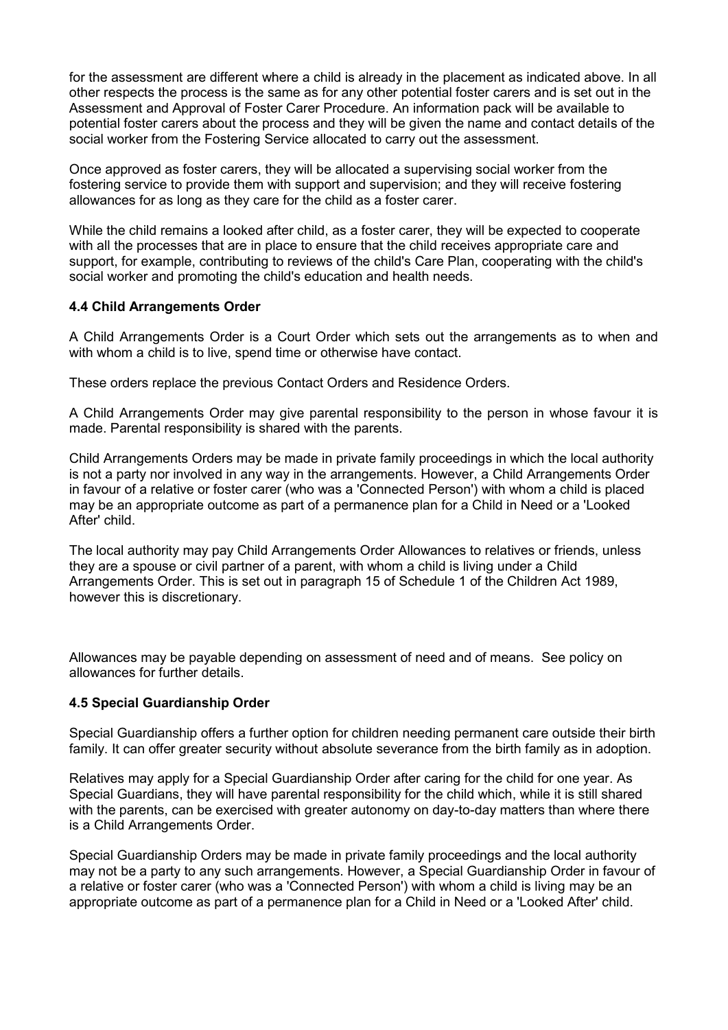for the assessment are different where a child is already in the placement as indicated above. In all other respects the process is the same as for any other potential foster carers and is set out in the Assessment and Approval of Foster Carer Procedure. An information pack will be available to potential foster carers about the process and they will be given the name and contact details of the social worker from the Fostering Service allocated to carry out the assessment.

Once approved as foster carers, they will be allocated a supervising social worker from the fostering service to provide them with support and supervision; and they will receive fostering allowances for as long as they care for the child as a foster carer.

While the child remains a looked after child, as a foster carer, they will be expected to cooperate with all the processes that are in place to ensure that the child receives appropriate care and support, for example, contributing to reviews of the child's Care Plan, cooperating with the child's social worker and promoting the child's education and health needs.

### **4.4 Child Arrangements Order**

A Child Arrangements Order is a Court Order which sets out the arrangements as to when and with whom a child is to live, spend time or otherwise have contact.

These orders replace the previous Contact Orders and Residence Orders.

A Child Arrangements Order may give parental responsibility to the person in whose favour it is made. Parental responsibility is shared with the parents.

Child Arrangements Orders may be made in private family proceedings in which the local authority is not a party nor involved in any way in the arrangements. However, a Child Arrangements Order in favour of a relative or foster carer (who was a 'Connected Person') with whom a child is placed may be an appropriate outcome as part of a permanence plan for a Child in Need or a 'Looked After' child.

The local authority may pay Child Arrangements Order Allowances to relatives or friends, unless they are a spouse or civil partner of a parent, with whom a child is living under a Child Arrangements Order. This is set out in paragraph 15 of Schedule 1 of the Children Act 1989, however this is discretionary.

Allowances may be payable depending on assessment of need and of means. See policy on allowances for further details.

### **4.5 Special Guardianship Order**

Special Guardianship offers a further option for children needing permanent care outside their birth family. It can offer greater security without absolute severance from the birth family as in adoption.

Relatives may apply for a Special Guardianship Order after caring for the child for one year. As Special Guardians, they will have parental responsibility for the child which, while it is still shared with the parents, can be exercised with greater autonomy on day-to-day matters than where there is a Child Arrangements Order.

Special Guardianship Orders may be made in private family proceedings and the local authority may not be a party to any such arrangements. However, a Special Guardianship Order in favour of a relative or foster carer (who was a 'Connected Person') with whom a child is living may be an appropriate outcome as part of a permanence plan for a Child in Need or a 'Looked After' child.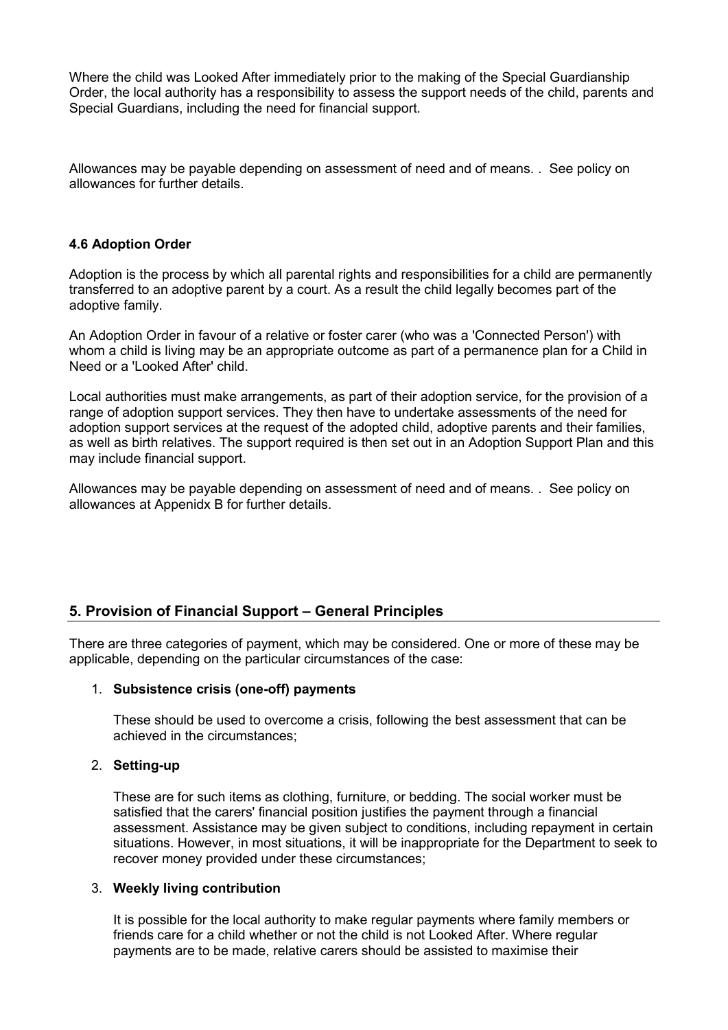Where the child was Looked After immediately prior to the making of the Special Guardianship Order, the local authority has a responsibility to assess the support needs of the child, parents and Special Guardians, including the need for financial support.

Allowances may be payable depending on assessment of need and of means. . See policy on allowances for further details.

### **4.6 Adoption Order**

Adoption is the process by which all parental rights and responsibilities for a child are permanently transferred to an adoptive parent by a court. As a result the child legally becomes part of the adoptive family.

An Adoption Order in favour of a relative or foster carer (who was a 'Connected Person') with whom a child is living may be an appropriate outcome as part of a permanence plan for a Child in Need or a 'Looked After' child.

Local authorities must make arrangements, as part of their adoption service, for the provision of a range of adoption support services. They then have to undertake assessments of the need for adoption support services at the request of the adopted child, adoptive parents and their families, as well as birth relatives. The support required is then set out in an Adoption Support Plan and this may include financial support.

Allowances may be payable depending on assessment of need and of means. . See policy on allowances at Appenidx B for further details.

### **5. Provision of Financial Support – General Principles**

There are three categories of payment, which may be considered. One or more of these may be applicable, depending on the particular circumstances of the case:

#### 1. **Subsistence crisis (one-off) payments**

These should be used to overcome a crisis, following the best assessment that can be achieved in the circumstances;

#### 2. **Setting-up**

These are for such items as clothing, furniture, or bedding. The social worker must be satisfied that the carers' financial position justifies the payment through a financial assessment. Assistance may be given subject to conditions, including repayment in certain situations. However, in most situations, it will be inappropriate for the Department to seek to recover money provided under these circumstances;

#### 3. **Weekly living contribution**

It is possible for the local authority to make regular payments where family members or friends care for a child whether or not the child is not Looked After. Where regular payments are to be made, relative carers should be assisted to maximise their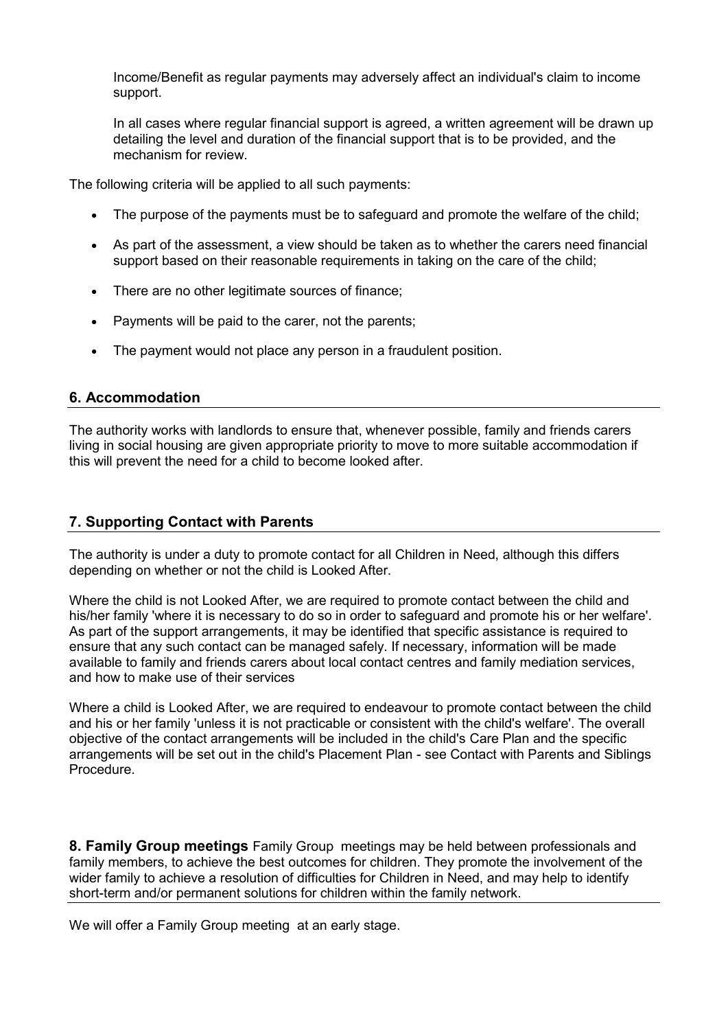Income/Benefit as regular payments may adversely affect an individual's claim to income support.

In all cases where regular financial support is agreed, a written agreement will be drawn up detailing the level and duration of the financial support that is to be provided, and the mechanism for review.

The following criteria will be applied to all such payments:

- The purpose of the payments must be to safeguard and promote the welfare of the child;
- As part of the assessment, a view should be taken as to whether the carers need financial support based on their reasonable requirements in taking on the care of the child;
- There are no other legitimate sources of finance;
- Payments will be paid to the carer, not the parents;
- The payment would not place any person in a fraudulent position.

### **6. Accommodation**

The authority works with landlords to ensure that, whenever possible, family and friends carers living in social housing are given appropriate priority to move to more suitable accommodation if this will prevent the need for a child to become looked after.

### **7. Supporting Contact with Parents**

The authority is under a duty to promote contact for all Children in Need, although this differs depending on whether or not the child is Looked After.

Where the child is not Looked After, we are required to promote contact between the child and his/her family 'where it is necessary to do so in order to safeguard and promote his or her welfare'. As part of the support arrangements, it may be identified that specific assistance is required to ensure that any such contact can be managed safely. If necessary, information will be made available to family and friends carers about local contact centres and family mediation services, and how to make use of their services

Where a child is Looked After, we are required to endeavour to promote contact between the child and his or her family 'unless it is not practicable or consistent with the child's welfare'. The overall objective of the contact arrangements will be included in the child's Care Plan and the specific arrangements will be set out in the child's Placement Plan - see Contact with Parents and Siblings Procedure.

**8. Family Group meetings** Family Group meetings may be held between professionals and family members, to achieve the best outcomes for children. They promote the involvement of the wider family to achieve a resolution of difficulties for Children in Need, and may help to identify short-term and/or permanent solutions for children within the family network.

We will offer a Family Group meeting at an early stage.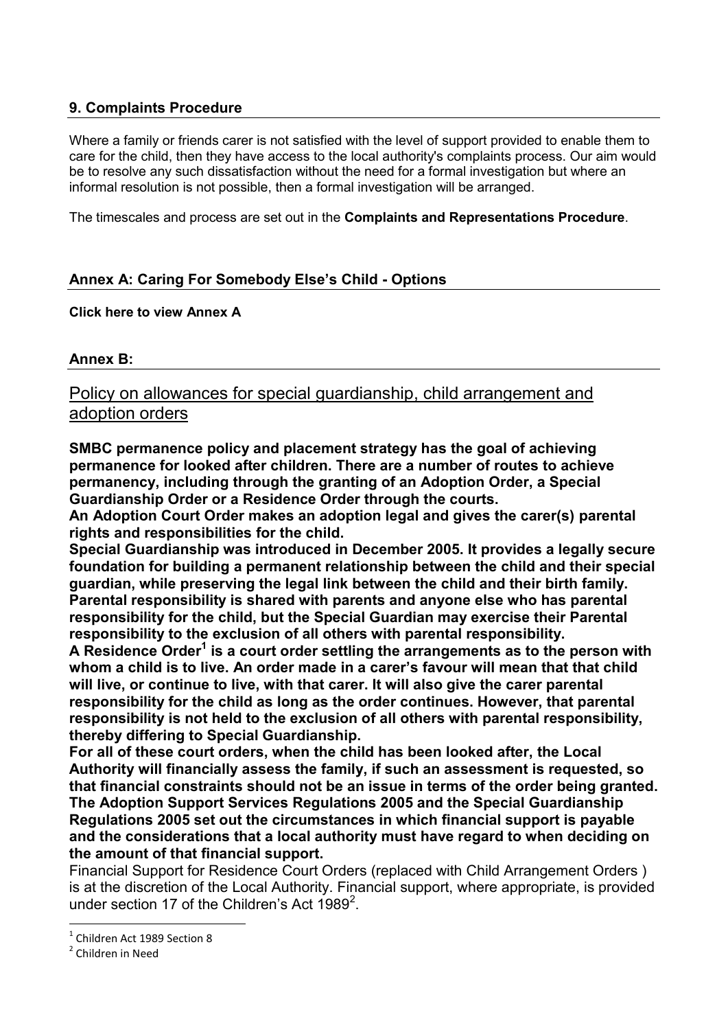## **9. Complaints Procedure**

Where a family or friends carer is not satisfied with the level of support provided to enable them to care for the child, then they have access to the local authority's complaints process. Our aim would be to resolve any such dissatisfaction without the need for a formal investigation but where an informal resolution is not possible, then a formal investigation will be arranged.

The timescales and process are set out in the **[Complaints and Representations Procedure](http://www.proceduresonline.com/templates/derek/web/chapters/p_reps_complaints.html)**.

## **Annex A: Caring For Somebody Else's Child - Options**

### **[Click here to view Annex A](http://www.proceduresonline.com/templates/derek/web/pdfs/care_someone_else_ch.pdf)**

### **Annex B:**

# Policy on allowances for special guardianship, child arrangement and adoption orders

**SMBC permanence policy and placement strategy has the goal of achieving permanence for looked after children. There are a number of routes to achieve permanency, including through the granting of an Adoption Order, a Special Guardianship Order or a Residence Order through the courts.** 

**An Adoption Court Order makes an adoption legal and gives the carer(s) [parental](https://www.gov.uk/parental-rights-responsibilities/what-is-parental-responsibility)  [rights and responsibilities](https://www.gov.uk/parental-rights-responsibilities/what-is-parental-responsibility) for the child.** 

**Special Guardianship was introduced in December 2005. It provides a legally secure foundation for building a permanent relationship between the child and their special guardian, while preserving the legal link between the child and their birth family. Parental responsibility is shared with parents and anyone else who has parental responsibility for the child, but the Special Guardian may exercise their Parental responsibility to the exclusion of all others with parental responsibility.** 

**A Residence Order<sup>1</sup> is a court order settling the arrangements as to the person with whom a child is to live. An order made in a carer's favour will mean that that child will live, or continue to live, with that carer. It will also give the carer parental responsibility for the child as long as the order continues. However, that parental responsibility is not held to the exclusion of all others with parental responsibility, thereby differing to Special Guardianship.** 

**For all of these court orders, when the child has been looked after, the Local Authority will financially assess the family, if such an assessment is requested, so that financial constraints should not be an issue in terms of the order being granted. The Adoption Support Services Regulations 2005 and the Special Guardianship Regulations 2005 set out the circumstances in which financial support is payable and the considerations that a local authority must have regard to when deciding on the amount of that financial support.** 

Financial Support for Residence Court Orders (replaced with Child Arrangement Orders ) is at the discretion of the Local Authority. Financial support, where appropriate, is provided under section 17 of the Children's Act 1989<sup>2</sup>.

<u>.</u>

<sup>1</sup> Children Act 1989 Section 8

<sup>&</sup>lt;sup>2</sup> Children in Need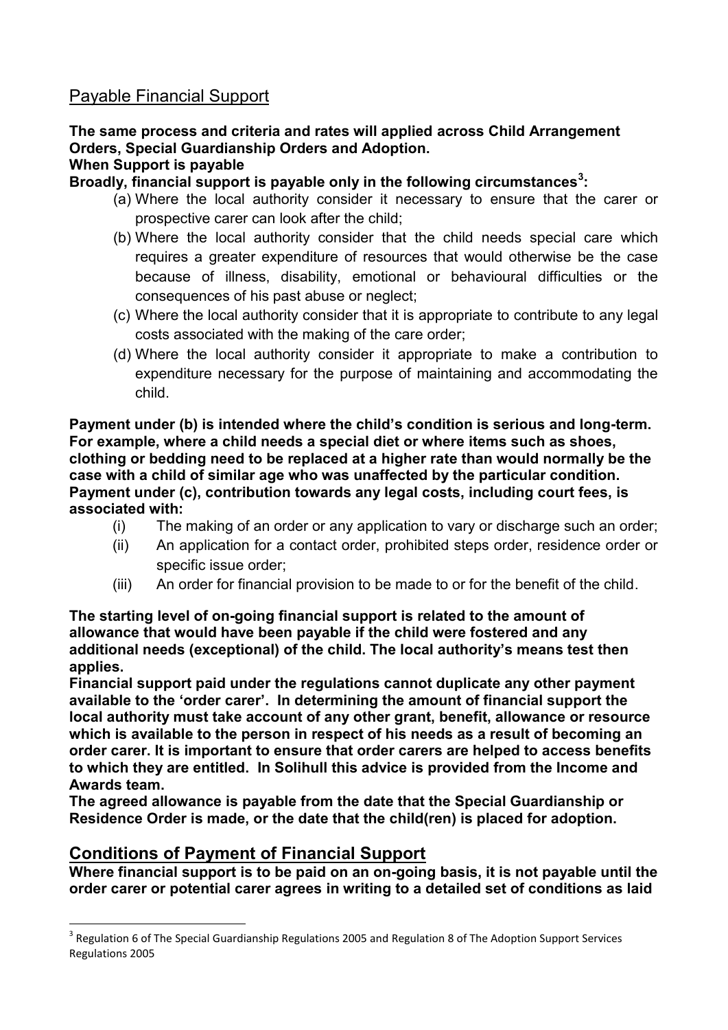# Payable Financial Support

# **The same process and criteria and rates will applied across Child Arrangement Orders, Special Guardianship Orders and Adoption.**

# **When Support is payable**

<span id="page-7-2"></span>**Broadly, financial support is payable only in the following circumstances<sup>3</sup> :** 

- (a) Where the local authority consider it necessary to ensure that the carer or prospective carer can look after the child;
- <span id="page-7-0"></span>(b) Where the local authority consider that the child needs special care which requires a greater expenditure of resources that would otherwise be the case because of illness, disability, emotional or behavioural difficulties or the consequences of his past abuse or neglect;
- <span id="page-7-1"></span>(c) Where the local authority consider that it is appropriate to contribute to any legal costs associated with the making of the care order;
- (d) Where the local authority consider it appropriate to make a contribution to expenditure necessary for the purpose of maintaining and accommodating the child.

**Payment under [\(b\)](#page-7-0) is intended where the child's condition is serious and long-term. For example, where a child needs a special diet or where items such as shoes, clothing or bedding need to be replaced at a higher rate than would normally be the case with a child of similar age who was unaffected by the particular condition. Payment under [\(c\),](#page-7-1) contribution towards any legal costs, including court fees, is associated with:** 

- <span id="page-7-3"></span>(i) The making of an order or any application to vary or discharge such an order;
- (ii) An application for a contact order, prohibited steps order, residence order or specific issue order;
- (iii) An order for financial provision to be made to or for the benefit of the child.

**The starting level of on-going financial support is related to the amount of allowance that would have been payable if the child were fostered and any additional needs (exceptional) of the child. The local authority's means test then applies.** 

**Financial support paid under the regulations cannot duplicate any other payment available to the 'order carer'. In determining the amount of financial support the local authority must take account of any other grant, benefit, allowance or resource which is available to the person in respect of his needs as a result of becoming an order carer. It is important to ensure that order carers are helped to access benefits to which they are entitled. In Solihull this advice is provided from the Income and Awards team.** 

**The agreed allowance is payable from the date that the Special Guardianship or Residence Order is made, or the date that the child(ren) is placed for adoption.** 

# **Conditions of Payment of Financial Support**

<u>.</u>

**Where financial support is to be paid on an on-going basis, it is not payable until the order carer or potential carer agrees in writing to a detailed set of conditions as laid** 

<sup>&</sup>lt;sup>3</sup> Regulation 6 of The Special Guardianship Regulations 2005 and Regulation 8 of The Adoption Support Services Regulations 2005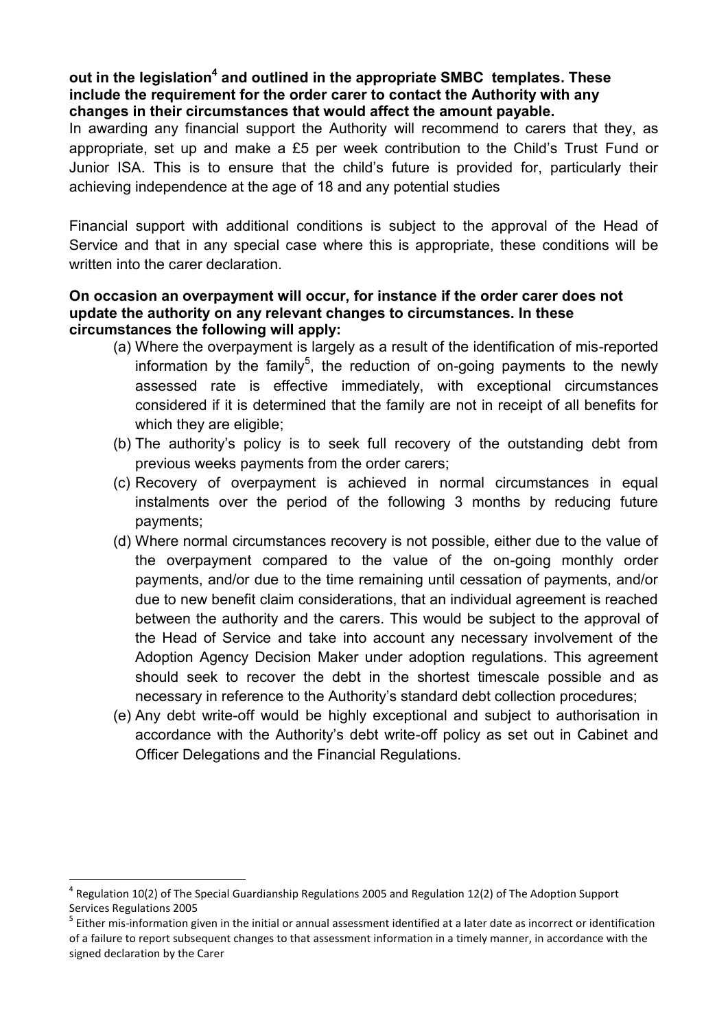## out in the legislation<sup>4</sup> and outlined in the appropriate SMBC templates. These **include the requirement for the order carer to contact the Authority with any changes in their circumstances that would affect the amount payable.**

In awarding any financial support the Authority will recommend to carers that they, as appropriate, set up and make a £5 per week contribution to the Child's Trust Fund or Junior ISA. This is to ensure that the child's future is provided for, particularly their achieving independence at the age of 18 and any potential studies

Financial support with additional conditions is subject to the approval of the Head of Service and that in any special case where this is appropriate, these conditions will be written into the carer declaration

## **On occasion an overpayment will occur, for instance if the order carer does not update the authority on any relevant changes to circumstances. In these circumstances the following will apply:**

- (a) Where the overpayment is largely as a result of the identification of mis-reported information by the family<sup>5</sup>, the reduction of on-going payments to the newly assessed rate is effective immediately, with exceptional circumstances considered if it is determined that the family are not in receipt of all benefits for which they are eligible:
- (b) The authority's policy is to seek full recovery of the outstanding debt from previous weeks payments from the order carers;
- (c) Recovery of overpayment is achieved in normal circumstances in equal instalments over the period of the following 3 months by reducing future payments;
- (d) Where normal circumstances recovery is not possible, either due to the value of the overpayment compared to the value of the on-going monthly order payments, and/or due to the time remaining until cessation of payments, and/or due to new benefit claim considerations, that an individual agreement is reached between the authority and the carers. This would be subject to the approval of the Head of Service and take into account any necessary involvement of the Adoption Agency Decision Maker under adoption regulations. This agreement should seek to recover the debt in the shortest timescale possible and as necessary in reference to the Authority's standard debt collection procedures;
- (e) Any debt write-off would be highly exceptional and subject to authorisation in accordance with the Authority's debt write-off policy as set out in Cabinet and Officer Delegations and the Financial Regulations.

1

 $<sup>4</sup>$  Regulation 10(2) of The Special Guardianship Regulations 2005 and Regulation 12(2) of The Adoption Support</sup> Services Regulations 2005

<sup>&</sup>lt;sup>5</sup> Either mis-information given in the initial or annual assessment identified at a later date as incorrect or identification of a failure to report subsequent changes to that assessment information in a timely manner, in accordance with the signed declaration by the Carer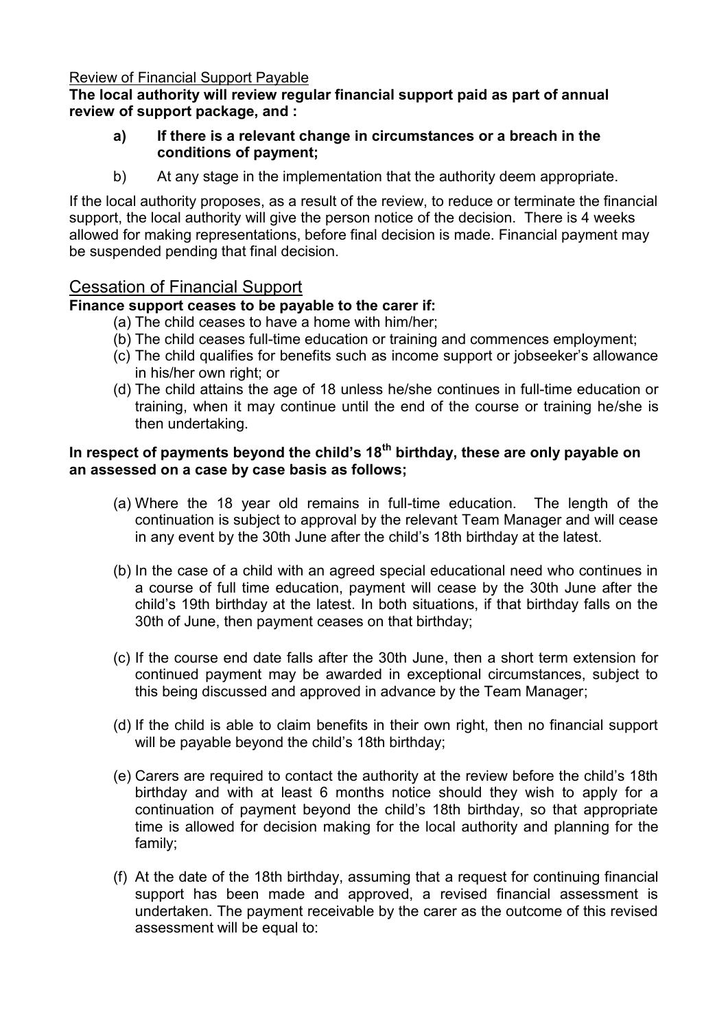## Review of Financial Support Payable

## **The local authority will review regular financial support paid as part of annual review of support package, and :**

## **a) If there is a relevant change in circumstances or a breach in the conditions of payment;**

b) At any stage in the implementation that the authority deem appropriate.

If the local authority proposes, as a result of the review, to reduce or terminate the financial support, the local authority will give the person notice of the decision. There is 4 weeks allowed for making representations, before final decision is made. Financial payment may be suspended pending that final decision.

## Cessation of Financial Support

## **Finance support ceases to be payable to the carer if:**

- (a) The child ceases to have a home with him/her;
- (b) The child ceases full-time education or training and commences employment;
- (c) The child qualifies for benefits such as income support or jobseeker's allowance in his/her own right; or
- (d) The child attains the age of 18 unless he/she continues in full-time education or training, when it may continue until the end of the course or training he/she is then undertaking.

## **In respect of payments beyond the child's 18th birthday, these are only payable on an assessed on a case by case basis as follows;**

- (a) Where the 18 year old remains in full-time education. The length of the continuation is subject to approval by the relevant Team Manager and will cease in any event by the 30th June after the child's 18th birthday at the latest.
- (b) In the case of a child with an agreed special educational need who continues in a course of full time education, payment will cease by the 30th June after the child's 19th birthday at the latest. In both situations, if that birthday falls on the 30th of June, then payment ceases on that birthday;
- (c) If the course end date falls after the 30th June, then a short term extension for continued payment may be awarded in exceptional circumstances, subject to this being discussed and approved in advance by the Team Manager;
- (d) If the child is able to claim benefits in their own right, then no financial support will be payable beyond the child's 18th birthday;
- (e) Carers are required to contact the authority at the review before the child's 18th birthday and with at least 6 months notice should they wish to apply for a continuation of payment beyond the child's 18th birthday, so that appropriate time is allowed for decision making for the local authority and planning for the family;
- (f) At the date of the 18th birthday, assuming that a request for continuing financial support has been made and approved, a revised financial assessment is undertaken. The payment receivable by the carer as the outcome of this revised assessment will be equal to: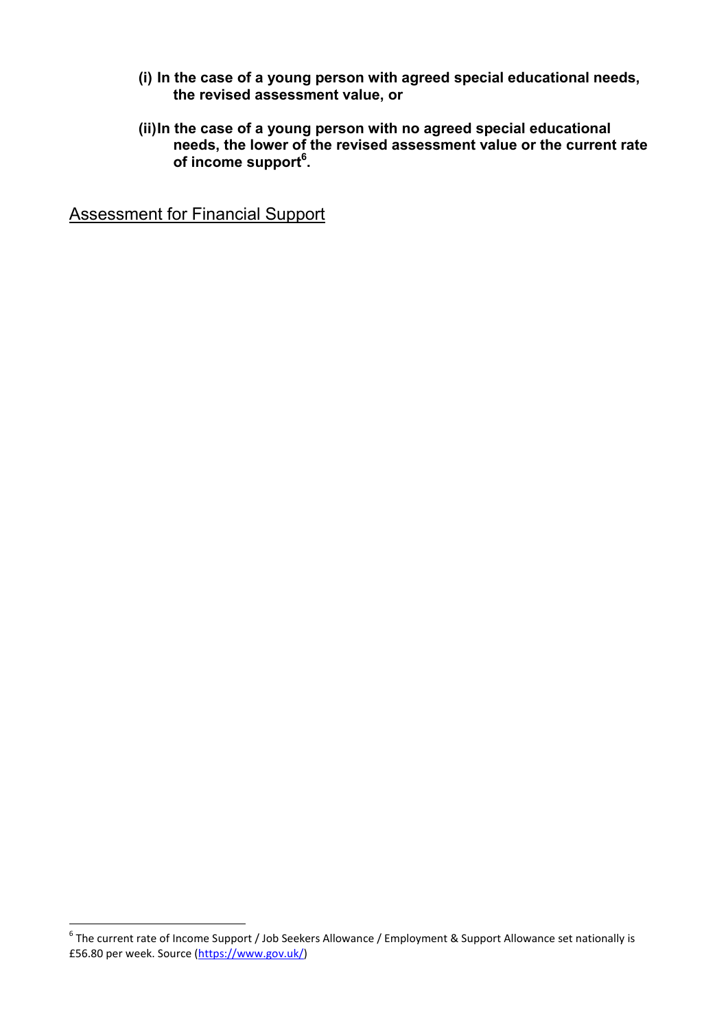- **(i) In the case of a young person with agreed special educational needs, the revised assessment value, or**
- **(ii) In the case of a young person with no agreed special educational needs, the lower of the revised assessment value or the current rate of income support<sup>6</sup> .**

Assessment for Financial Support

 6 The current rate of Income Support / Job Seekers Allowance / Employment & Support Allowance set nationally is £56.80 per week. Source [\(https://www.gov.uk/\)](https://www.gov.uk/)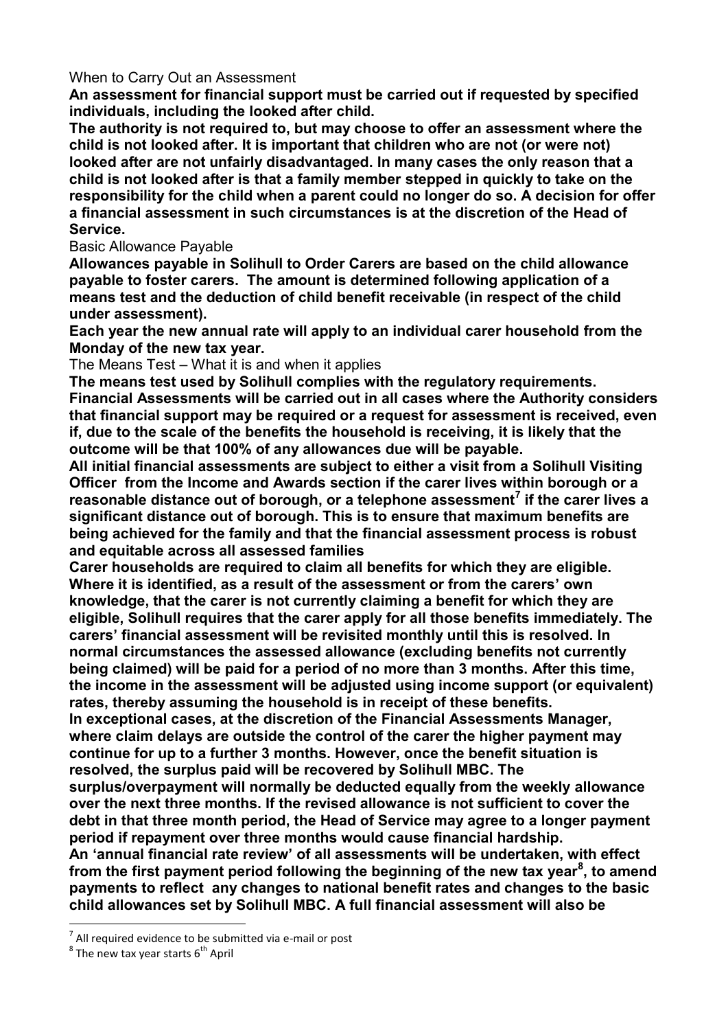### When to Carry Out an Assessment

**An assessment for financial support must be carried out if requested by specified individuals, including the looked after child.** 

**The authority is not required to, but may choose to offer an assessment where the child is not looked after. It is important that children who are not (or were not) looked after are not unfairly disadvantaged. In many cases the only reason that a child is not looked after is that a family member stepped in quickly to take on the responsibility for the child when a parent could no longer do so. A decision for offer a financial assessment in such circumstances is at the discretion of the Head of Service.** 

### Basic Allowance Payable

**Allowances payable in Solihull to Order Carers are based on the child allowance payable to foster carers. The amount is determined following application of a means test and the deduction of child benefit receivable (in respect of the child under assessment).** 

**Each year the new annual rate will apply to an individual carer household from the Monday of the new tax year.** 

The Means Test – What it is and when it applies

**The means test used by Solihull complies with the regulatory requirements. Financial Assessments will be carried out in all cases where the Authority considers that financial support may be required or a request for assessment is received, even if, due to the scale of the benefits the household is receiving, it is likely that the outcome will be that 100% of any allowances due will be payable.** 

**All initial financial assessments are subject to either a visit from a Solihull Visiting Officer from the Income and Awards section if the carer lives within borough or a reasonable distance out of borough, or a telephone assessment<sup>7</sup> if the carer lives a significant distance out of borough. This is to ensure that maximum benefits are being achieved for the family and that the financial assessment process is robust and equitable across all assessed families** 

**Carer households are required to claim all benefits for which they are eligible. Where it is identified, as a result of the assessment or from the carers' own knowledge, that the carer is not currently claiming a benefit for which they are eligible, Solihull requires that the carer apply for all those benefits immediately. The carers' financial assessment will be revisited monthly until this is resolved. In normal circumstances the assessed allowance (excluding benefits not currently being claimed) will be paid for a period of no more than 3 months. After this time, the income in the assessment will be adjusted using income support (or equivalent) rates, thereby assuming the household is in receipt of these benefits.** 

**In exceptional cases, at the discretion of the Financial Assessments Manager, where claim delays are outside the control of the carer the higher payment may continue for up to a further 3 months. However, once the benefit situation is resolved, the surplus paid will be recovered by Solihull MBC. The** 

**surplus/overpayment will normally be deducted equally from the weekly allowance over the next three months. If the revised allowance is not sufficient to cover the debt in that three month period, the Head of Service may agree to a longer payment period if repayment over three months would cause financial hardship.** 

**An 'annual financial rate review' of all assessments will be undertaken, with effect from the first payment period following the beginning of the new tax year<sup>8</sup> , to amend payments to reflect any changes to national benefit rates and changes to the basic child allowances set by Solihull MBC. A full financial assessment will also be** 

<u>.</u>

<sup>7</sup> All required evidence to be submitted via e-mail or post

 $^8$  The new tax year starts  $6^{\text{th}}$  April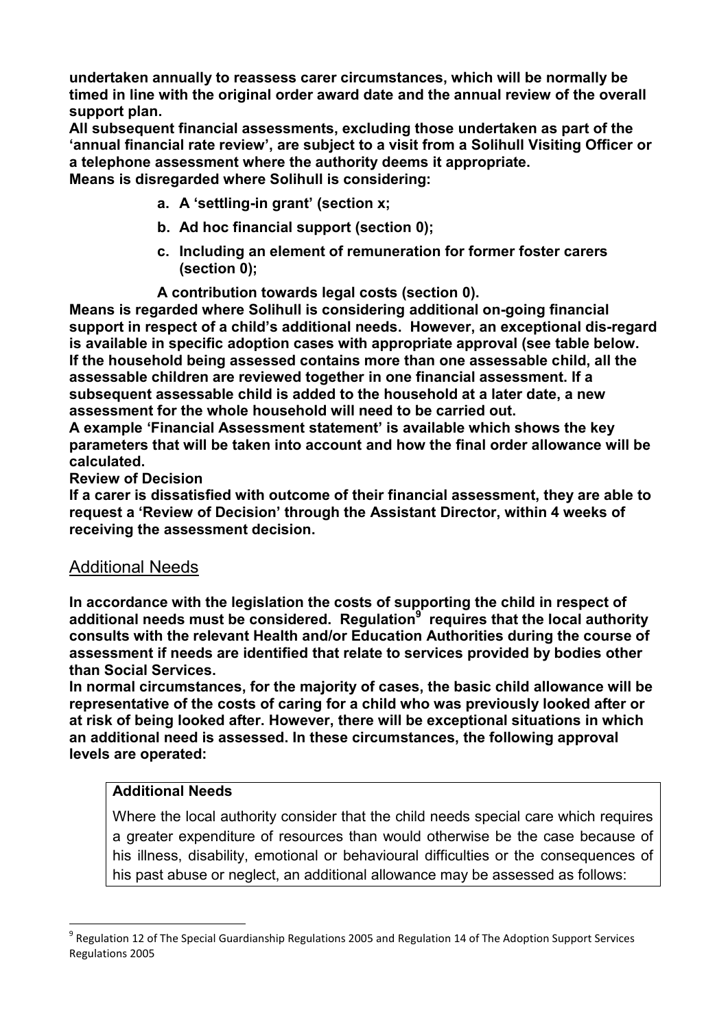**undertaken annually to reassess carer circumstances, which will be normally be timed in line with the original order award date and the annual review of the overall support plan.** 

**All subsequent financial assessments, excluding those undertaken as part of the 'annual financial rate review', are subject to a visit from a Solihull Visiting Officer or a telephone assessment where the authority deems it appropriate.** 

**Means is disregarded where Solihull is considering:** 

- **a. A 'settling-in grant' (section x;**
- **b. Ad hoc financial support (section [0\)](#page-16-0);**
- **c. Including an element of remuneration for former foster carers (section [0\)](#page-14-0);**
- **A contribution towards legal costs (section [0\)](#page-15-0).**

**Means is regarded where Solihull is considering additional on-going financial support in respect of a child's additional needs. However, an exceptional dis-regard is available in specific adoption cases with appropriate approval (see table below. If the household being assessed contains more than one assessable child, all the assessable children are reviewed together in one financial assessment. If a subsequent assessable child is added to the household at a later date, a new assessment for the whole household will need to be carried out.** 

**A example 'Financial Assessment statement' is available which shows the key parameters that will be taken into account and how the final order allowance will be calculated.** 

**Review of Decision** 

**If a carer is dissatisfied with outcome of their financial assessment, they are able to request a 'Review of Decision' through the Assistant Director, within 4 weeks of receiving the assessment decision.** 

## <span id="page-12-0"></span>Additional Needs

**In accordance with the legislation the costs of supporting the child in respect of additional needs must be considered. Regulation<sup>9</sup> requires that the local authority consults with the relevant Health and/or Education Authorities during the course of assessment if needs are identified that relate to services provided by bodies other than Social Services.** 

**In normal circumstances, for the majority of cases, the basic child allowance will be representative of the costs of caring for a child who was previously looked after or at risk of being looked after. However, there will be exceptional situations in which an additional need is assessed. In these circumstances, the following approval levels are operated:** 

## **Additional Needs**

<u>.</u>

Where the local authority consider that the child needs special care which requires a greater expenditure of resources than would otherwise be the case because of his illness, disability, emotional or behavioural difficulties or the consequences of his past abuse or neglect, an additional allowance may be assessed as follows:

<sup>&</sup>lt;sup>9</sup> Regulation 12 of The Special Guardianship Regulations 2005 and Regulation 14 of The Adoption Support Services Regulations 2005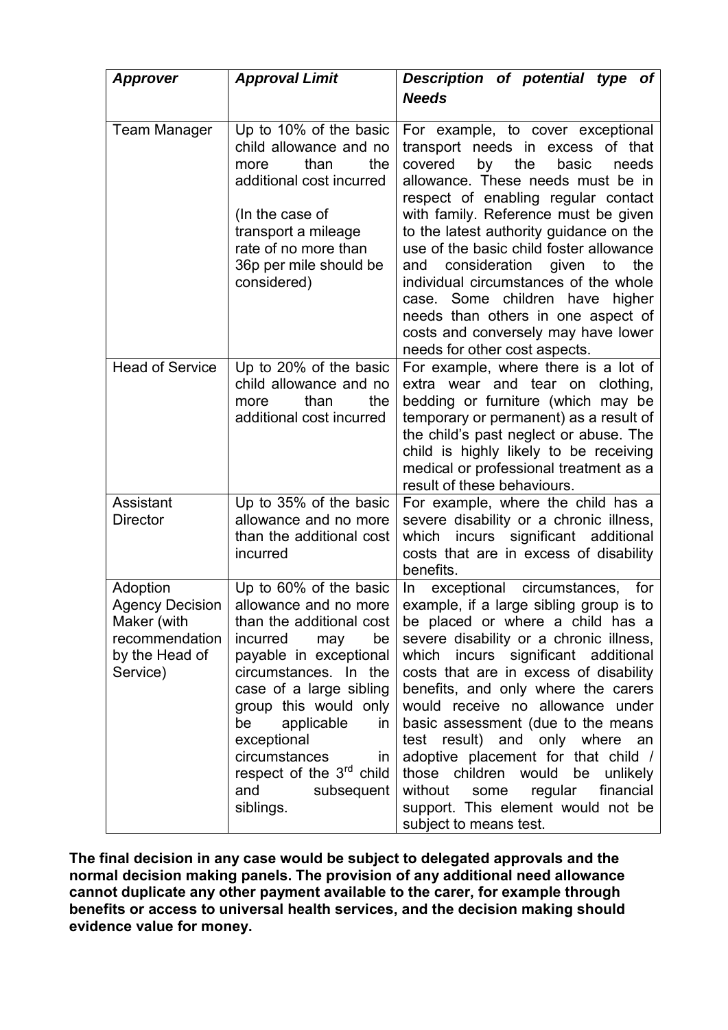| Approver                                                                                          | <b>Approval Limit</b>                                                                                                                                                                                                                                                                                                                                  | Description of potential type of                                                                                                                                                                                                                                                                                                                                                                                                                                                                                                                                                                   |
|---------------------------------------------------------------------------------------------------|--------------------------------------------------------------------------------------------------------------------------------------------------------------------------------------------------------------------------------------------------------------------------------------------------------------------------------------------------------|----------------------------------------------------------------------------------------------------------------------------------------------------------------------------------------------------------------------------------------------------------------------------------------------------------------------------------------------------------------------------------------------------------------------------------------------------------------------------------------------------------------------------------------------------------------------------------------------------|
|                                                                                                   |                                                                                                                                                                                                                                                                                                                                                        | <b>Needs</b>                                                                                                                                                                                                                                                                                                                                                                                                                                                                                                                                                                                       |
| <b>Team Manager</b>                                                                               | Up to 10% of the basic<br>child allowance and no<br>the<br>than<br>more<br>additional cost incurred<br>(In the case of<br>transport a mileage<br>rate of no more than<br>36p per mile should be<br>considered)                                                                                                                                         | For example, to cover exceptional<br>transport needs in excess of that<br>covered<br>by<br>the<br>basic<br>needs<br>allowance. These needs must be in<br>respect of enabling regular contact<br>with family. Reference must be given<br>to the latest authority guidance on the<br>use of the basic child foster allowance<br>consideration<br>given<br>the<br>and<br>to<br>individual circumstances of the whole<br>case. Some children have higher<br>needs than others in one aspect of<br>costs and conversely may have lower<br>needs for other cost aspects.                                 |
| <b>Head of Service</b>                                                                            | Up to 20% of the basic<br>child allowance and no<br>than<br>the<br>more<br>additional cost incurred                                                                                                                                                                                                                                                    | For example, where there is a lot of<br>extra wear and tear on clothing,<br>bedding or furniture (which may be<br>temporary or permanent) as a result of<br>the child's past neglect or abuse. The<br>child is highly likely to be receiving<br>medical or professional treatment as a<br>result of these behaviours.                                                                                                                                                                                                                                                                              |
| Assistant<br><b>Director</b>                                                                      | Up to 35% of the basic<br>allowance and no more<br>than the additional cost<br>incurred                                                                                                                                                                                                                                                                | For example, where the child has a<br>severe disability or a chronic illness,<br>significant additional<br>which<br>incurs<br>costs that are in excess of disability<br>benefits.                                                                                                                                                                                                                                                                                                                                                                                                                  |
| Adoption<br><b>Agency Decision</b><br>Maker (with<br>recommendation<br>by the Head of<br>Service) | Up to 60% of the basic<br>allowance and no more<br>than the additional cost<br>incurred<br>be<br>may<br>payable in exceptional<br>circumstances. In the<br>case of a large sibling<br>group this would only<br>be<br>applicable<br>in.<br>exceptional<br>circumstances<br>in<br>respect of the 3 <sup>rd</sup> child<br>and<br>subsequent<br>siblings. | exceptional<br>circumstances,<br>for<br>In.<br>example, if a large sibling group is to<br>be placed or where a child has a<br>severe disability or a chronic illness,<br>which incurs significant additional<br>costs that are in excess of disability<br>benefits, and only where the carers<br>would receive no allowance under<br>basic assessment (due to the means<br>test result) and only where an<br>adoptive placement for that child /<br>those children would<br>be<br>unlikely<br>without some<br>regular<br>financial<br>support. This element would not be<br>subject to means test. |

**The final decision in any case would be subject to delegated approvals and the normal decision making panels. The provision of any additional need allowance cannot duplicate any other payment available to the carer, for example through benefits or access to universal health services, and the decision making should evidence value for money.**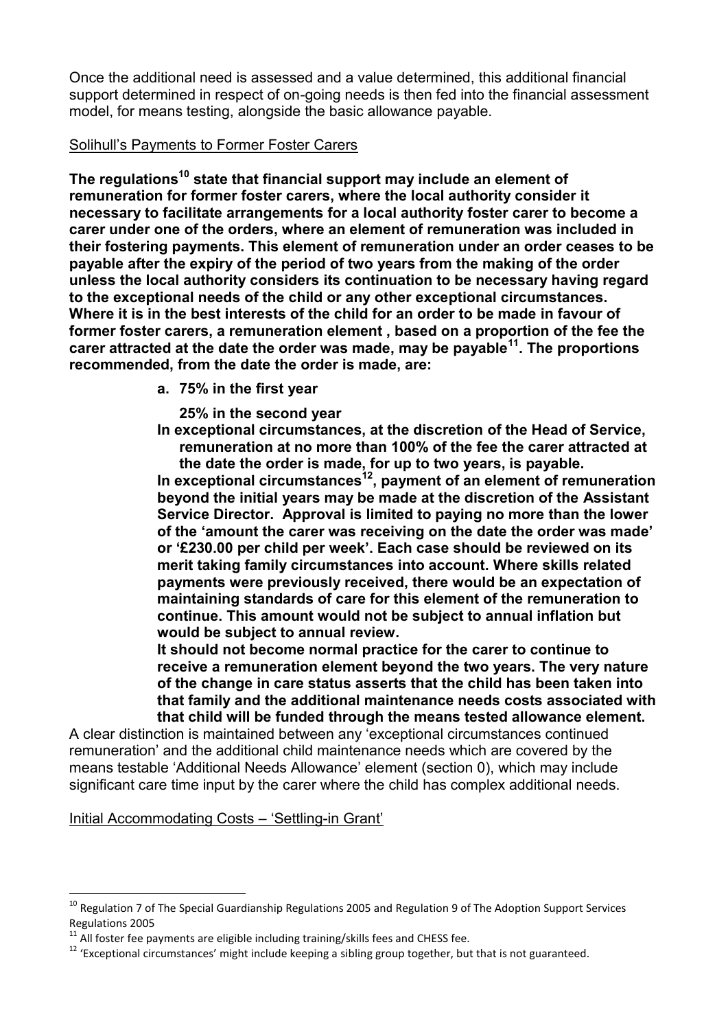Once the additional need is assessed and a value determined, this additional financial support determined in respect of on-going needs is then fed into the financial assessment model, for means testing, alongside the basic allowance payable.

## <span id="page-14-0"></span>Solihull's Payments to Former Foster Carers

**The regulations<sup>10</sup> state that financial support may include an element of remuneration for former foster carers, where the local authority consider it necessary to facilitate arrangements for a local authority foster carer to become a carer under one of the orders, where an element of remuneration was included in their fostering payments. This element of remuneration under an order ceases to be payable after the expiry of the period of two years from the making of the order unless the local authority considers its continuation to be necessary having regard to the exceptional needs of the child or any other exceptional circumstances. Where it is in the best interests of the child for an order to be made in favour of former foster carers, a remuneration element , based on a proportion of the fee the carer attracted at the date the order was made, may be payable<sup>11</sup> . The proportions recommended, from the date the order is made, are:** 

**a. 75% in the first year** 

**25% in the second year** 

**In exceptional circumstances, at the discretion of the Head of Service, remuneration at no more than 100% of the fee the carer attracted at the date the order is made, for up to two years, is payable.** 

**In exceptional circumstances<sup>12</sup>, payment of an element of remuneration beyond the initial years may be made at the discretion of the Assistant Service Director. Approval is limited to paying no more than the lower of the 'amount the carer was receiving on the date the order was made' or '£230.00 per child per week'. Each case should be reviewed on its merit taking family circumstances into account. Where skills related payments were previously received, there would be an expectation of maintaining standards of care for this element of the remuneration to continue. This amount would not be subject to annual inflation but would be subject to annual review.** 

**It should not become normal practice for the carer to continue to receive a remuneration element beyond the two years. The very nature of the change in care status asserts that the child has been taken into that family and the additional maintenance needs costs associated with that child will be funded through the means tested allowance element.** 

A clear distinction is maintained between any 'exceptional circumstances continued remuneration' and the additional child maintenance needs which are covered by the means testable 'Additional Needs Allowance' element (section [0\)](#page-12-0), which may include significant care time input by the carer where the child has complex additional needs.

Initial Accommodating Costs – 'Settling-in Grant'

1

<sup>&</sup>lt;sup>10</sup> Regulation 7 of The Special Guardianship Regulations 2005 and Regulation 9 of The Adoption Support Services Regulations 2005

 $11$  All foster fee payments are eligible including training/skills fees and CHESS fee.

<sup>&</sup>lt;sup>12</sup> 'Exceptional circumstances' might include keeping a sibling group together, but that is not guaranteed.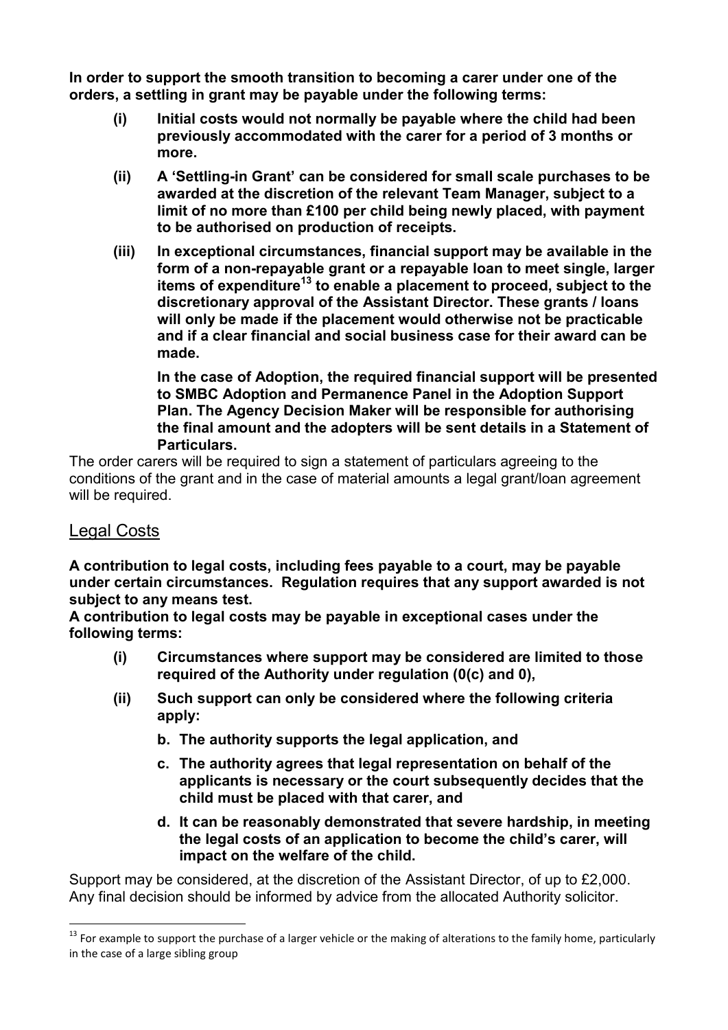**In order to support the smooth transition to becoming a carer under one of the orders, a settling in grant may be payable under the following terms:** 

- **(i) Initial costs would not normally be payable where the child had been previously accommodated with the carer for a period of 3 months or more.**
- **(ii) A 'Settling-in Grant' can be considered for small scale purchases to be awarded at the discretion of the relevant Team Manager, subject to a limit of no more than £100 per child being newly placed, with payment to be authorised on production of receipts.**
- **(iii) In exceptional circumstances, financial support may be available in the form of a non-repayable grant or a repayable loan to meet single, larger items of expenditure<sup>13</sup> to enable a placement to proceed, subject to the discretionary approval of the Assistant Director. These grants / loans will only be made if the placement would otherwise not be practicable and if a clear financial and social business case for their award can be made.**

**In the case of Adoption, the required financial support will be presented to SMBC Adoption and Permanence Panel in the Adoption Support Plan. The Agency Decision Maker will be responsible for authorising the final amount and the adopters will be sent details in a Statement of Particulars.** 

The order carers will be required to sign a statement of particulars agreeing to the conditions of the grant and in the case of material amounts a legal grant/loan agreement will be required.

# <span id="page-15-0"></span>Legal Costs

<u>.</u>

**A contribution to legal costs, including fees payable to a court, may be payable under certain circumstances. Regulation requires that any support awarded is not subject to any means test.** 

**A contribution to legal costs may be payable in exceptional cases under the following terms:** 

- **(i) Circumstances where support may be considered are limited to those required of the Authority under regulation [\(0\(c\)](#page-7-2) and [0\)](#page-7-3),**
- **(ii) Such support can only be considered where the following criteria apply:** 
	- **b. The authority supports the legal application, and**
	- **c. The authority agrees that legal representation on behalf of the applicants is necessary or the court subsequently decides that the child must be placed with that carer, and**
	- **d. It can be reasonably demonstrated that severe hardship, in meeting the legal costs of an application to become the child's carer, will impact on the welfare of the child.**

Support may be considered, at the discretion of the Assistant Director, of up to £2,000. Any final decision should be informed by advice from the allocated Authority solicitor.

 $13$  For example to support the purchase of a larger vehicle or the making of alterations to the family home, particularly in the case of a large sibling group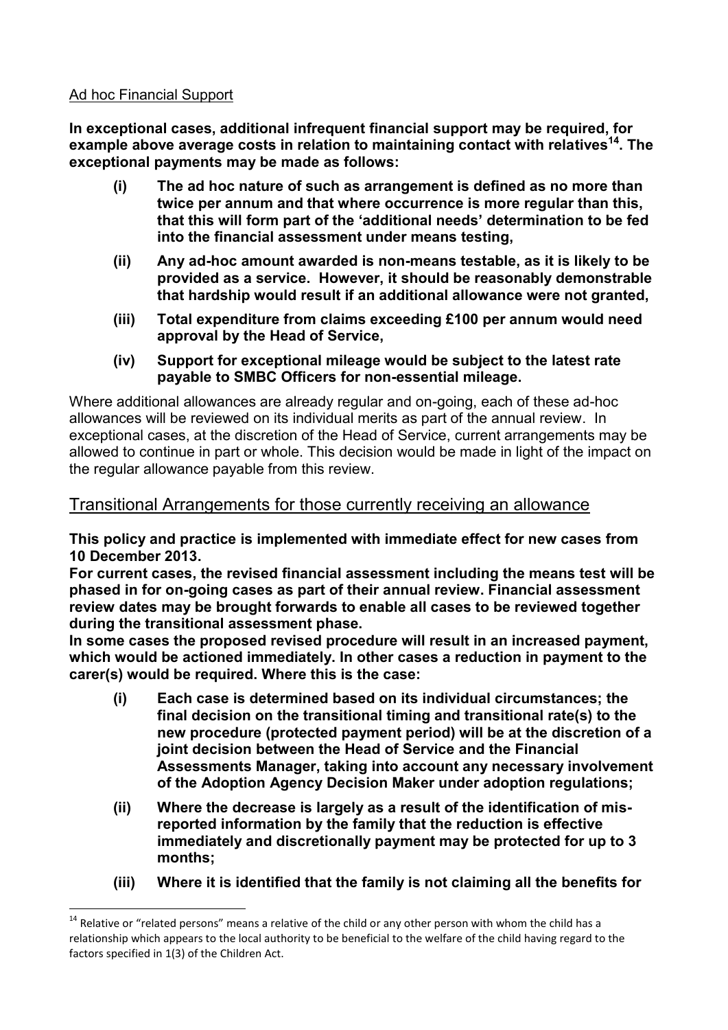## <span id="page-16-0"></span>Ad hoc Financial Support

1

**In exceptional cases, additional infrequent financial support may be required, for example above average costs in relation to maintaining contact with relatives<sup>14</sup>. The exceptional payments may be made as follows:** 

- **(i) The ad hoc nature of such as arrangement is defined as no more than twice per annum and that where occurrence is more regular than this, that this will form part of the 'additional needs' determination to be fed into the financial assessment under means testing,**
- **(ii) Any ad-hoc amount awarded is non-means testable, as it is likely to be provided as a service. However, it should be reasonably demonstrable that hardship would result if an additional allowance were not granted,**
- **(iii) Total expenditure from claims exceeding £100 per annum would need approval by the Head of Service,**
- **(iv) Support for exceptional mileage would be subject to the latest rate payable to SMBC Officers for non-essential mileage.**

Where additional allowances are already regular and on-going, each of these ad-hoc allowances will be reviewed on its individual merits as part of the annual review. In exceptional cases, at the discretion of the Head of Service, current arrangements may be allowed to continue in part or whole. This decision would be made in light of the impact on the regular allowance payable from this review.

# Transitional Arrangements for those currently receiving an allowance

**This policy and practice is implemented with immediate effect for new cases from 10 December 2013.** 

**For current cases, the revised financial assessment including the means test will be phased in for on-going cases as part of their annual review. Financial assessment review dates may be brought forwards to enable all cases to be reviewed together during the transitional assessment phase.** 

**In some cases the proposed revised procedure will result in an increased payment, which would be actioned immediately. In other cases a reduction in payment to the carer(s) would be required. Where this is the case:** 

- **(i) Each case is determined based on its individual circumstances; the final decision on the transitional timing and transitional rate(s) to the new procedure (protected payment period) will be at the discretion of a joint decision between the Head of Service and the Financial Assessments Manager, taking into account any necessary involvement of the Adoption Agency Decision Maker under adoption regulations;**
- **(ii) Where the decrease is largely as a result of the identification of misreported information by the family that the reduction is effective immediately and discretionally payment may be protected for up to 3 months;**
- **(iii) Where it is identified that the family is not claiming all the benefits for**

 $14$  Relative or "related persons" means a relative of the child or any other person with whom the child has a relationship which appears to the local authority to be beneficial to the welfare of the child having regard to the factors specified in 1(3) of the Children Act.